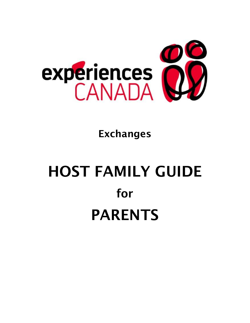

# Exchanges

# HOST FAMILY GUIDE for PARENTS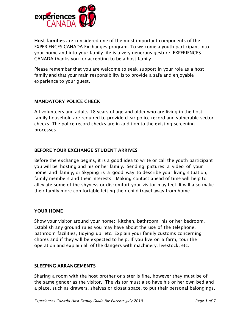

Host families are considered one of the most important components of the EXPERIENCES CANADA Exchanges program. To welcome a youth participant into your home and into your family life is a very generous gesture. EXPERIENCES CANADA thanks you for accepting to be a host family.

Please remember that you are welcome to seek support in your role as a host family and that your main responsibility is to provide a safe and enjoyable experience to your guest.

# MANDATORY POLICE CHECK

All volunteers and adults 18 years of age and older who are living in the host family household are required to provide clear police record and vulnerable sector checks. The police record checks are in addition to the existing screening processes.

# BEFORE YOUR EXCHANGE STUDENT ARRIVES

Before the exchange begins, it is a good idea to write or call the youth participant you will be hosting and his or her family. Sending pictures, a video of your home and family, or Skyping is a good way to describe your living situation, family members and their interests. Making contact ahead of time will help to alleviate some of the shyness or discomfort your visitor may feel. It will also make their family more comfortable letting their child travel away from home.

# YOUR HOME

Show your visitor around your home: kitchen, bathroom, his or her bedroom. Establish any ground rules you may have about the use of the telephone, bathroom facilities, tidying up, etc. Explain your family customs concerning chores and if they will be expected to help. If you live on a farm, tour the operation and explain all of the dangers with machinery, livestock, etc.

# SLEEPING ARRANGEMENTS

Sharing a room with the host brother or sister is fine, however they must be of the same gender as the visitor. The visitor must also have his or her own bed and a place, such as drawers, shelves or closet space, to put their personal belongings.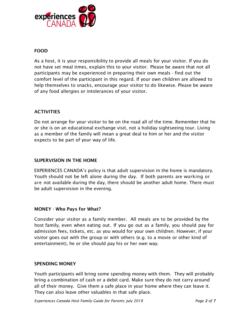

# FOOD

As a host, it is your responsibility to provide all meals for your visitor. If you do not have set meal times, explain this to your visitor. Please be aware that not all participants may be experienced in preparing their own meals - find out the comfort level of the participant in this regard. If your own children are allowed to help themselves to snacks, encourage your visitor to do likewise. Please be aware of any food allergies or intolerances of your visitor.

# **ACTIVITIES**

Do not arrange for your visitor to be on the road all of the time. Remember that he or she is on an educational exchange visit, not a holiday sightseeing tour. Living as a member of the family will mean a great deal to him or her and the visitor expects to be part of your way of life.

# SUPERVISION IN THE HOME

EXPERIENCES CANADA's policy is that adult supervision in the home is mandatory. Youth should not be left alone during the day. If both parents are working or are not available during the day, there should be another adult home. There must be adult supervision in the evening.

# MONEY - Who Pays for What?

Consider your visitor as a family member. All meals are to be provided by the host family, even when eating out. If you go out as a family, you should pay for admission fees, tickets, etc. as you would for your own children. However, if your visitor goes out with the group or with others (e.g. to a movie or other kind of entertainment), he or she should pay his or her own way.

# SPENDING MONEY

Youth participants will bring some spending money with them. They will probably bring a combination of cash or a debit card. Make sure they do not carry around all of their money. Give them a safe place in your home where they can leave it. They can also leave other valuables in that safe place.

*Experiences Canada Host Family Guide for Parents July 2019 Page 2 of 7*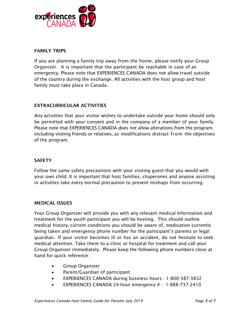

# FAMILY TRIPS

If you are planning a family trip away from the home, please notify your Group Organizer. It is important that the participant be reachable in case of an emergency. Please note that EXPERIENCES CANADA does not allow travel outside of the country during the exchange. All activities with the host group and host family must take place in Canada.

# EXTRACURRICULAR ACTIVITIES

Any activities that your visitor wishes to undertake outside your home should only be permitted with your consent and in the company of a member of your family. Please note that EXPERIENCES CANADA does not allow alterations from the program, including visiting friends or relatives, as modifications distract from the objectives of the program.

# **SAFETY**

Follow the same safety precautions with your visiting guest that you would with your own child. It is important that host families, chaperones and anyone assisting in activities take every normal precaution to prevent mishaps from occurring.

# MEDICAL ISSUES

Your Group Organizer will provide you with any relevant medical Information and treatment for the youth participant you will be hosting. This should outline medical history, current conditions you should be aware of, medication currently being taken and emergency phone number for the participant's parents or legal guardian. If your visitor becomes ill or has an accident, do not hesitate to seek medical attention. Take them to a clinic or hospital for treatment and call your Group Organizer immediately. Please keep the following phone numbers close at hand for quick reference:

- Group Organizer
- Parent/Guardian of participant
- EXPERIENCES CANADA during business hours : 1-800-387-3832
- EXPERIENCES CANADA 24-hour emergency # : 1-888-737-2410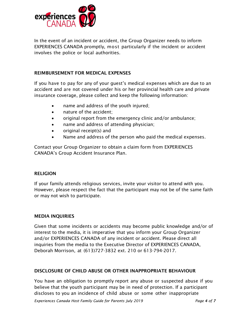

In the event of an incident or accident, the Group Organizer needs to inform EXPERIENCES CANADA promptly, most particularly if the incident or accident involves the police or local authorities.

# REIMBURSEMENT FOR MEDICAL EXPENSES

If you have to pay for any of your guest's medical expenses which are due to an accident and are not covered under his or her provincial health care and private insurance coverage, please collect and keep the following information:

- name and address of the youth injured;
- nature of the accident;
- original report from the emergency clinic and/or ambulance;
- name and address of attending physician;
- $\bullet$  original receipt(s) and
- Name and address of the person who paid the medical expenses.

Contact your Group Organizer to obtain a claim form from EXPERIENCES CANADA's Group Accident Insurance Plan.

# RELIGION

If your family attends religious services, invite your visitor to attend with you. However, please respect the fact that the participant may not be of the same faith or may not wish to participate.

# MEDIA INQUIRIES

Given that some incidents or accidents may become public knowledge and/or of interest to the media, it is imperative that you inform your Group Organizer and/or EXPERIENCES CANADA of any incident or accident. Please direct all inquiries from the media to the Executive Director of EXPERIENCES CANADA, Deborah Morrison, at (613)727-3832 ext. 210 or 613-794-2017.

# DISCLOSURE OF CHILD ABUSE OR OTHER INAPPROPRIATE BEHAVIOUR

You have an obligation to promptly report any abuse or suspected abuse if you believe that the youth participant may be in need of protection. If a participant discloses to you an incidence of child abuse or some other inappropriate

*Experiences Canada Host Family Guide for Parents July 2019 Page 4 of 7*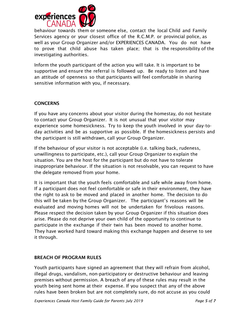

behaviour towards them or someone else, contact the local Child and Family Services agency or your closest office of the R.C.M.P. or provincial police, as well as your Group Organizer and/or EXPERIENCES CANADA. You do not have to prove that child abuse has taken place; that is the responsibility of the investigating authorities.

Inform the youth participant of the action you will take. It is important to be supportive and ensure the referral is followed up. Be ready to listen and have an attitude of openness so that participants will feel comfortable in sharing sensitive information with you, if necessary.

# **CONCERNS**

If you have any concerns about your visitor during the homestay, do not hesitate to contact your Group Organizer. It is not unusual that your visitor may experience some homesickness. Try to keep the youth involved in your day-today activities and be as supportive as possible. If the homesickness persists and the participant is still withdrawn, call your Group Organizer.

If the behaviour of your visitor is not acceptable (i.e. talking back, rudeness, unwillingness to participate, etc.), call your Group Organizer to explain the situation. You are the host for the participant but do not have to tolerate inappropriate behaviour. If the situation is not resolvable, you can request to have the delegate removed from your home.

It is important that the youth feels comfortable and safe while away from home. If a participant does not feel comfortable or safe in their environment, they have the right to ask to be moved and placed in another home. The decision to do this will be taken by the Group Organizer. The participant's reasons will be evaluated and moving homes will not be undertaken for frivolous reasons. Please respect the decision taken by your Group Organizer if this situation does arise. Please do not deprive your own child of the opportunity to continue to participate in the exchange if their twin has been moved to another home. They have worked hard toward making this exchange happen and deserve to see it through.

# BREACH OF PROGRAM RULES

Youth participants have signed an agreement that they will refrain from alcohol, illegal drugs, vandalism, non-participatory or destructive behaviour and leaving premises without permission. A breach of any of these rules may result in the youth being sent home at their expense. If you suspect that any of the above rules have been broken but are not completely sure, do not accuse as you could

*Experiences Canada Host Family Guide for Parents July 2019 Page 5 of 7*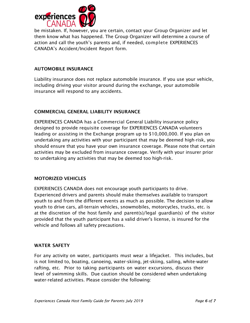

be mistaken. If, however, you are certain, contact your Group Organizer and let them know what has happened. The Group Organizer will determine a course of action and call the youth's parents and, if needed, complete EXPERIENCES CANADA's Accident/Incident Report form.

# AUTOMOBILE INSURANCE

Liability insurance does not replace automobile insurance. If you use your vehicle, including driving your visitor around during the exchange, your automobile insurance will respond to any accidents.

# COMMERCIAL GENERAL LIABILITY INSURANCE

EXPERIENCES CANADA has a Commercial General Liability insurance policy designed to provide requisite coverage for EXPERIENCES CANADA volunteers leading or assisting in the Exchange program up to \$10,000,000. If you plan on undertaking any activities with your participant that may be deemed high-risk, you should ensure that you have your own insurance coverage. Please note that certain activities may be excluded from insurance coverage. Verify with your insurer prior to undertaking any activities that may be deemed too high-risk.

# MOTORIZED VEHICLES

EXPERIENCES CANADA does not encourage youth participants to drive. Experienced drivers and parents should make themselves available to transport youth to and from the different events as much as possible. The decision to allow youth to drive cars, all-terrain vehicles, snowmobiles, motorcycles, trucks, etc. is at the discretion of the host family and parent(s)/legal guardian(s) of the visitor provided that the youth participant has a valid driver's license, is insured for the vehicle and follows all safety precautions.

# WATER SAFETY

For any activity on water, participants must wear a lifejacket. This includes, but is not limited to, boating, canoeing, water-skiing, jet-skiing, sailing, white-water rafting, etc. Prior to taking participants on water excursions, discuss their level of swimming skills. Due caution should be considered when undertaking water-related activities. Please consider the following: